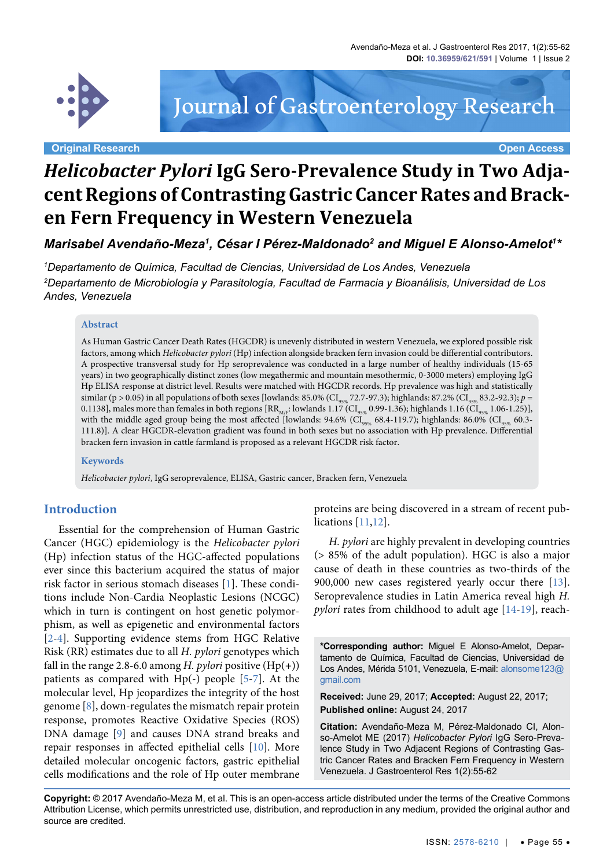

Journal of Gastroenterology Research

**Original Research Open Access**

# *Helicobacter Pylori* **IgG Sero-Prevalence Study in Two Adjacent Regions of Contrasting Gastric Cancer Rates and Bracken Fern Frequency in Western Venezuela**

Marisabel Avendaño-Meza<sup>1</sup>, César I Pérez-Maldonado<sup>2</sup> and Miguel E Alonso-Amelot<sup>1</sup>\*

*1 Departamento de Química, Facultad de Ciencias, Universidad de Los Andes, Venezuela 2 Departamento de Microbiología y Parasitología, Facultad de Farmacia y Bioanálisis, Universidad de Los Andes, Venezuela*

#### **Abstract**

As Human Gastric Cancer Death Rates (HGCDR) is unevenly distributed in western Venezuela, we explored possible risk factors, among which *Helicobacter pylori* (Hp) infection alongside bracken fern invasion could be differential contributors. A prospective transversal study for Hp seroprevalence was conducted in a large number of healthy individuals (15-65 years) in two geographically distinct zones (low megathermic and mountain mesothermic, 0-3000 meters) employing IgG Hp ELISA response at district level. Results were matched with HGCDR records. Hp prevalence was high and statistically  $\sigma$ similar (p > 0.05) in all populations of both sexes [lowlands: 85.0% (CI<sub>95%</sub> 72.7-97.3); highlands: 87.2% (CI<sub>95%</sub> 83.2-92.3); *p* = 0.1138], males more than females in both regions  $\rm{[RR}_{\rm{M/F}}$ : lowlands 1.17 (CI<sub>95%</sub> 0.99-1.36); highlands 1.16 (CI<sub>95%</sub> 1.06-1.25)], with the middle aged group being the most affected [lowlands: 94.6% ( $\widetilde{CI_{95\%}}$  68.4-119.7); highlands: 86.0% ( $\widetilde{CI_{95\%}}$  60.3-111.8)]. A clear HGCDR-elevation gradient was found in both sexes but no association with Hp prevalence. Differential bracken fern invasion in cattle farmland is proposed as a relevant HGCDR risk factor.

#### **Keywords**

*Helicobacter pylori*, IgG seroprevalence, ELISA, Gastric cancer, Bracken fern, Venezuela

#### **Introduction**

Essential for the comprehension of Human Gastric Cancer (HGC) epidemiology is the *Helicobacter pylori* (Hp) infection status of the HGC-affected populations ever since this bacterium acquired the status of major risk factor in serious stomach diseases [[1](#page-5-0)]. These conditions include Non-Cardia Neoplastic Lesions (NCGC) which in turn is contingent on host genetic polymorphism, as well as epigenetic and environmental factors [\[2-](#page-5-1)[4\]](#page-5-2). Supporting evidence stems from HGC Relative Risk (RR) estimates due to all *H. pylori* genotypes which fall in the range 2.8-6.0 among *H. pylori* positive  $(Hp(+))$ patients as compared with Hp(-) people [\[5](#page-5-3)[-7](#page-5-4)]. At the molecular level, Hp jeopardizes the integrity of the host genome [[8\]](#page-5-5), down-regulates the mismatch repair protein response, promotes Reactive Oxidative Species (ROS) DNA damage [\[9](#page-5-6)] and causes DNA strand breaks and repair responses in affected epithelial cells [\[10\]](#page-5-7). More detailed molecular oncogenic factors, gastric epithelial cells modifications and the role of Hp outer membrane

proteins are being discovered in a stream of recent publications [\[11](#page-5-8)[,12\]](#page-5-9).

*H. pylori* are highly prevalent in developing countries (> 85% of the adult population). HGC is also a major cause of death in these countries as two-thirds of the 900,000 new cases registered yearly occur there [[13](#page-5-10)]. Seroprevalence studies in Latin America reveal high *H. pylori* rates from childhood to adult age [\[14-](#page-5-11)[19](#page-6-0)], reach-

**\*Corresponding author:** Miguel E Alonso-Amelot, Departamento de Química, Facultad de Ciencias, Universidad de Los Andes, Mérida 5101, Venezuela, E-mail: [alonsome123@](mailto:alonsome123@gmail.com) [gmail.com](mailto:alonsome123@gmail.com)

**Received:** June 29, 2017; **Accepted:** August 22, 2017; **Published online:** August 24, 2017

**Citation:** Avendaño-Meza M, Pérez-Maldonado CI, Alonso-Amelot ME (2017) *Helicobacter Pylori* IgG Sero-Prevalence Study in Two Adjacent Regions of Contrasting Gastric Cancer Rates and Bracken Fern Frequency in Western Venezuela. J Gastroenterol Res 1(2):55-62

**Copyright:** © 2017 Avendaño-Meza M, et al. This is an open-access article distributed under the terms of the Creative Commons Attribution License, which permits unrestricted use, distribution, and reproduction in any medium, provided the original author and source are credited.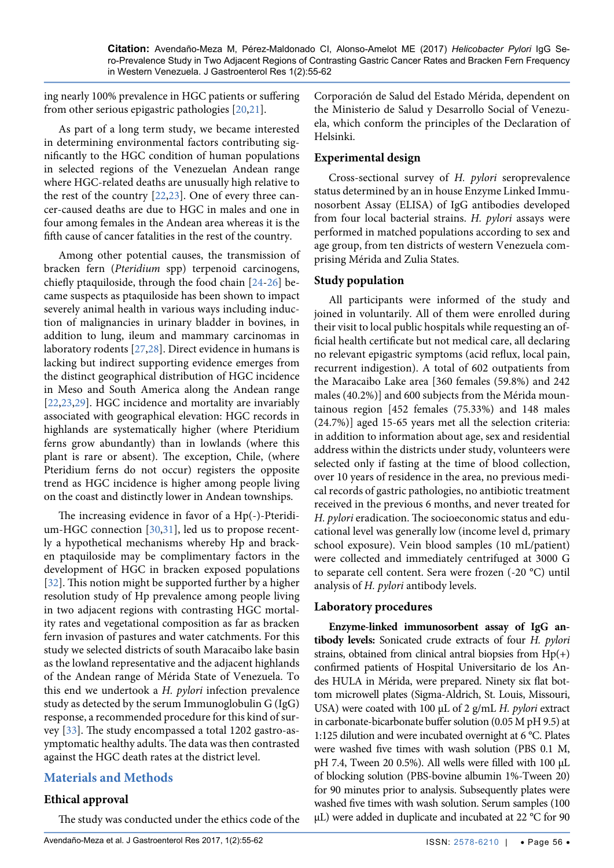ing nearly 100% prevalence in HGC patients or suffering from other serious epigastric pathologies [[20](#page-6-1),[21](#page-6-2)].

As part of a long term study, we became interested in determining environmental factors contributing significantly to the HGC condition of human populations in selected regions of the Venezuelan Andean range where HGC-related deaths are unusually high relative to the rest of the country [\[22](#page-6-3),[23](#page-6-4)]. One of every three cancer-caused deaths are due to HGC in males and one in four among females in the Andean area whereas it is the fifth cause of cancer fatalities in the rest of the country.

Among other potential causes, the transmission of bracken fern (*Pteridium* spp) terpenoid carcinogens, chiefly ptaquiloside, through the food chain [[24](#page-6-5)[-26\]](#page-6-6) became suspects as ptaquiloside has been shown to impact severely animal health in various ways including induction of malignancies in urinary bladder in bovines, in addition to lung, ileum and mammary carcinomas in laboratory rodents [[27](#page-6-7),[28](#page-6-8)]. Direct evidence in humans is lacking but indirect supporting evidence emerges from the distinct geographical distribution of HGC incidence in Meso and South America along the Andean range [\[22](#page-6-3)[,23](#page-6-4)[,29](#page-6-9)]. HGC incidence and mortality are invariably associated with geographical elevation: HGC records in highlands are systematically higher (where Pteridium ferns grow abundantly) than in lowlands (where this plant is rare or absent). The exception, Chile, (where Pteridium ferns do not occur) registers the opposite trend as HGC incidence is higher among people living on the coast and distinctly lower in Andean townships.

The increasing evidence in favor of a Hp(-)-Pteridium-HGC connection [[30](#page-6-10),[31\]](#page-6-11), led us to propose recently a hypothetical mechanisms whereby Hp and bracken ptaquiloside may be complimentary factors in the development of HGC in bracken exposed populations [\[32\]](#page-6-12). This notion might be supported further by a higher resolution study of Hp prevalence among people living in two adjacent regions with contrasting HGC mortality rates and vegetational composition as far as bracken fern invasion of pastures and water catchments. For this study we selected districts of south Maracaibo lake basin as the lowland representative and the adjacent highlands of the Andean range of Mérida State of Venezuela. To this end we undertook a *H. pylori* infection prevalence study as detected by the serum Immunoglobulin G (IgG) response, a recommended procedure for this kind of survey [\[33\]](#page-6-13). The study encompassed a total 1202 gastro-asymptomatic healthy adults. The data was then contrasted against the HGC death rates at the district level.

# **Materials and Methods**

# **Ethical approval**

The study was conducted under the ethics code of the

Corporación de Salud del Estado Mérida, dependent on the Ministerio de Salud y Desarrollo Social of Venezuela, which conform the principles of the Declaration of Helsinki.

## **Experimental design**

Cross-sectional survey of *H. pylori* seroprevalence status determined by an in house Enzyme Linked Immunosorbent Assay (ELISA) of IgG antibodies developed from four local bacterial strains. *H. pylori* assays were performed in matched populations according to sex and age group, from ten districts of western Venezuela comprising Mérida and Zulia States.

## **Study population**

All participants were informed of the study and joined in voluntarily. All of them were enrolled during their visit to local public hospitals while requesting an official health certificate but not medical care, all declaring no relevant epigastric symptoms (acid reflux, local pain, recurrent indigestion). A total of 602 outpatients from the Maracaibo Lake area [360 females (59.8%) and 242 males (40.2%)] and 600 subjects from the Mérida mountainous region [452 females (75.33%) and 148 males (24.7%)] aged 15-65 years met all the selection criteria: in addition to information about age, sex and residential address within the districts under study, volunteers were selected only if fasting at the time of blood collection, over 10 years of residence in the area, no previous medical records of gastric pathologies, no antibiotic treatment received in the previous 6 months, and never treated for *H. pylori* eradication. The socioeconomic status and educational level was generally low (income level d, primary school exposure). Vein blood samples (10 mL/patient) were collected and immediately centrifuged at 3000 G to separate cell content. Sera were frozen (-20 °C) until analysis of *H. pylori* antibody levels.

#### **Laboratory procedures**

**Enzyme-linked immunosorbent assay of IgG antibody levels:** Sonicated crude extracts of four *H. pylori* strains, obtained from clinical antral biopsies from  $Hp(+)$ confirmed patients of Hospital Universitario de los Andes HULA in Mérida, were prepared. Ninety six flat bottom microwell plates (Sigma-Aldrich, St. Louis, Missouri, USA) were coated with 100 µL of 2 g/mL *H. pylori* extract in carbonate-bicarbonate buffer solution (0.05 M pH 9.5) at 1:125 dilution and were incubated overnight at 6 °C. Plates were washed five times with wash solution (PBS 0.1 M, pH 7.4, Tween 20 0.5%). All wells were filled with 100 µL of blocking solution (PBS-bovine albumin 1%-Tween 20) for 90 minutes prior to analysis. Subsequently plates were washed five times with wash solution. Serum samples (100 µL) were added in duplicate and incubated at 22 °C for 90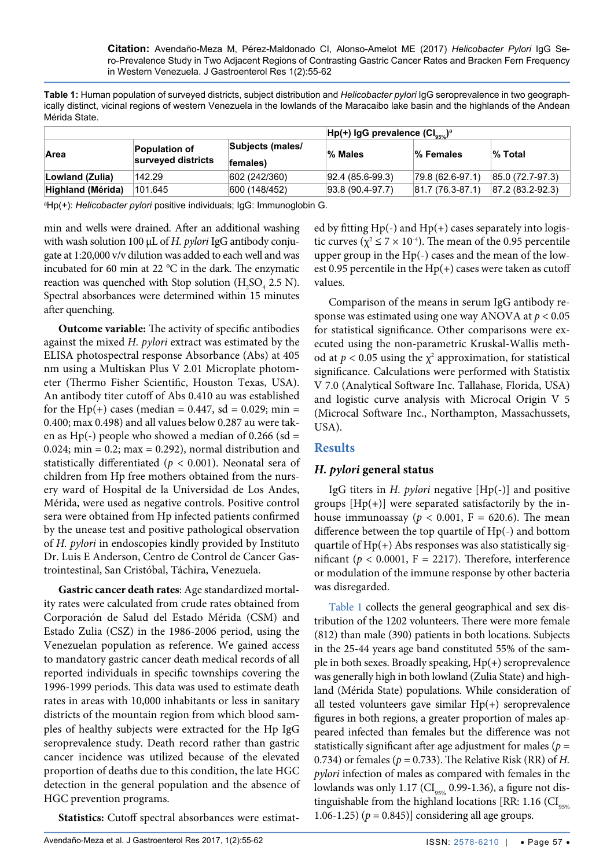<span id="page-2-0"></span>**Table 1:** Human population of surveyed districts, subject distribution and *Helicobacter pylori* IgG seroprevalence in two geographically distinct, vicinal regions of western Venezuela in the lowlands of the Maracaibo lake basin and the highlands of the Andean Mérida State.

|                   |                                            |                              | $Hp(+)$ IgG prevalence $(Cl_{\text{avg}})^a$ |                  |                        |  |
|-------------------|--------------------------------------------|------------------------------|----------------------------------------------|------------------|------------------------|--|
| Area              | <b>Population of</b><br>surveyed districts | Subjects (males/<br>females) | % Males                                      | ∣% Females       | % Total                |  |
| Lowland (Zulia)   | 142.29                                     | 602 (242/360)                | $ 92.4 \ (85.6-99.3)$                        | 79.8 (62.6-97.1) | 85.0 (72.7-97.3)       |  |
| Highland (Mérida) | 101.645                                    | 600 (148/452)                | 93.8 (90.4-97.7)                             | 81.7 (76.3-87.1) | $ 87.2 (83.2 - 92.3) $ |  |

a Hp(+): *Helicobacter pylori* positive individuals; IgG: Immunoglobin G.

min and wells were drained. After an additional washing with wash solution 100 µL of *H. pylori* IgG antibody conjugate at 1:20,000 v/v dilution was added to each well and was incubated for 60 min at 22 °C in the dark. The enzymatic reaction was quenched with Stop solution  $(H_2SO_4 2.5 N)$ . Spectral absorbances were determined within 15 minutes after quenching.

**Outcome variable:** The activity of specific antibodies against the mixed *H. pylori* extract was estimated by the ELISA photospectral response Absorbance (Abs) at 405 nm using a Multiskan Plus V 2.01 Microplate photometer (Thermo Fisher Scientific, Houston Texas, USA). An antibody titer cutoff of Abs 0.410 au was established for the Hp(+) cases (median =  $0.447$ , sd =  $0.029$ ; min = 0.400; max 0.498) and all values below 0.287 au were taken as Hp(-) people who showed a median of  $0.266$  (sd = 0.024; min = 0.2; max = 0.292), normal distribution and statistically differentiated (*p* < 0.001). Neonatal sera of children from Hp free mothers obtained from the nursery ward of Hospital de la Universidad de Los Andes, Mérida, were used as negative controls. Positive control sera were obtained from Hp infected patients confirmed by the unease test and positive pathological observation of *H. pylori* in endoscopies kindly provided by Instituto Dr. Luis E Anderson, Centro de Control de Cancer Gastrointestinal, San Cristóbal, Táchira, Venezuela.

**Gastric cancer death rates**: Age standardized mortality rates were calculated from crude rates obtained from Corporación de Salud del Estado Mérida (CSM) and Estado Zulia (CSZ) in the 1986-2006 period, using the Venezuelan population as reference. We gained access to mandatory gastric cancer death medical records of all reported individuals in specific townships covering the 1996-1999 periods. This data was used to estimate death rates in areas with 10,000 inhabitants or less in sanitary districts of the mountain region from which blood samples of healthy subjects were extracted for the Hp IgG seroprevalence study. Death record rather than gastric cancer incidence was utilized because of the elevated proportion of deaths due to this condition, the late HGC detection in the general population and the absence of HGC prevention programs.

**Statistics:** Cutoff spectral absorbances were estimat-

ed by fitting  $Hp(-)$  and  $Hp(+)$  cases separately into logistic curves ( $\chi^2 \le 7 \times 10^{-4}$ ). The mean of the 0.95 percentile upper group in the Hp(-) cases and the mean of the lowest 0.95 percentile in the  $Hp(+)$  cases were taken as cutoff values.

Comparison of the means in serum IgG antibody response was estimated using one way ANOVA at *p* < 0.05 for statistical significance. Other comparisons were executed using the non-parametric Kruskal-Wallis method at  $p < 0.05$  using the  $\chi^2$  approximation, for statistical significance. Calculations were performed with Statistix V 7.0 (Analytical Software Inc. Tallahase, Florida, USA) and logistic curve analysis with Microcal Origin V 5 (Microcal Software Inc., Northampton, Massachussets, USA).

## **Results**

#### *H. pylori* **general status**

IgG titers in *H. pylori* negative [Hp(-)] and positive groups  $[Hp(+)]$  were separated satisfactorily by the inhouse immunoassay ( $p < 0.001$ , F = 620.6). The mean difference between the top quartile of Hp(-) and bottom quartile of Hp(+) Abs responses was also statistically significant ( $p < 0.0001$ ,  $F = 2217$ ). Therefore, interference or modulation of the immune response by other bacteria was disregarded.

[Table 1](#page-2-0) collects the general geographical and sex distribution of the 1202 volunteers. There were more female (812) than male (390) patients in both locations. Subjects in the 25-44 years age band constituted 55% of the sample in both sexes. Broadly speaking, Hp(+) seroprevalence was generally high in both lowland (Zulia State) and highland (Mérida State) populations. While consideration of all tested volunteers gave similar Hp(+) seroprevalence figures in both regions, a greater proportion of males appeared infected than females but the difference was not statistically significant after age adjustment for males (*p* = 0.734) or females (*p* = 0.733). The Relative Risk (RR) of *H. pylori* infection of males as compared with females in the lowlands was only 1.17 ( $CI_{\text{qsg}}$  0.99-1.36), a figure not distinguishable from the highland locations [RR: 1.16  $\left( \text{CI}_{\text{gas}} \right)$ 1.06-1.25) ( $p = 0.845$ )] considering all age groups.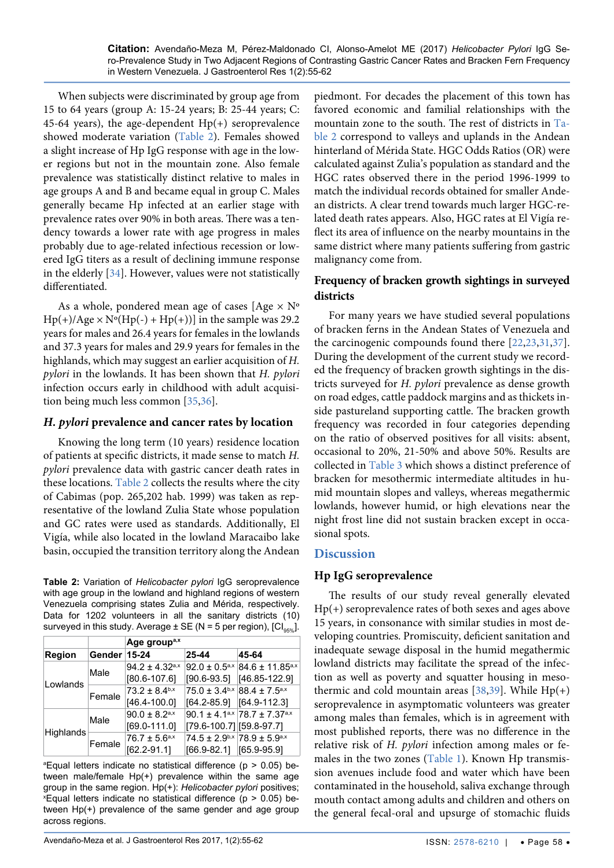When subjects were discriminated by group age from 15 to 64 years (group A: 15-24 years; B: 25-44 years; C: 45-64 years), the age-dependent  $Hp(+)$  seroprevalence showed moderate variation [\(Table 2\)](#page-3-0). Females showed a slight increase of Hp IgG response with age in the lower regions but not in the mountain zone. Also female prevalence was statistically distinct relative to males in age groups A and B and became equal in group C. Males generally became Hp infected at an earlier stage with prevalence rates over 90% in both areas. There was a tendency towards a lower rate with age progress in males probably due to age-related infectious recession or lowered IgG titers as a result of declining immune response in the elderly [\[34\]](#page-6-17). However, values were not statistically differentiated.

As a whole, pondered mean age of cases [Age  $\times$  N°  $Hp(+)/Age \times N°(Hp(-) + Hp(+))]$  in the sample was 29.2 years for males and 26.4 years for females in the lowlands and 37.3 years for males and 29.9 years for females in the highlands, which may suggest an earlier acquisition of *H. pylori* in the lowlands. It has been shown that *H. pylori*  infection occurs early in childhood with adult acquisition being much less common [\[35](#page-6-18),[36](#page-6-19)].

#### *H. pylori* **prevalence and cancer rates by location**

Knowing the long term (10 years) residence location of patients at specific districts, it made sense to match *H. pylori* prevalence data with gastric cancer death rates in these locations. [Table 2](#page-3-0) collects the results where the city of Cabimas (pop. 265,202 hab. 1999) was taken as representative of the lowland Zulia State whose population and GC rates were used as standards. Additionally, El Vigía, while also located in the lowland Maracaibo lake basin, occupied the transition territory along the Andean

<span id="page-3-0"></span>**Table 2:** Variation of *Helicobacter pylori* IgG seroprevalence with age group in the lowland and highland regions of western Venezuela comprising states Zulia and Mérida, respectively. Data for 1202 volunteers in all the sanitary districts (10) surveyed in this study. Average  $\pm$  SE (N = 5 per region),  $\left[CI_{new}\right]$ .

|                  |        | Age group <sup>a,x</sup>       |                                 |                                                      |  |
|------------------|--------|--------------------------------|---------------------------------|------------------------------------------------------|--|
| <b>Region</b>    | Gender | $15 - 24$                      | 25-44                           | 45-64                                                |  |
| Lowlands         | Male   | $94.2 \pm 4.32$ <sup>a,x</sup> | $92.0 \pm 0.5^{a,x}$            | $84.6 \pm 11.85$ <sup>a,x</sup>                      |  |
|                  |        | $[80.6 - 107.6]$               | $[90.6 - 93.5]$                 | [46.85-122.9]                                        |  |
|                  | Female | $73.2 + 8.4$ <sup>b,x</sup>    | $75.0 \pm 3.4^{b,x}$            | $88.4 + 7.5^{a,x}$                                   |  |
|                  |        | $[46.4 - 100.0]$               | $[64.2 - 85.9]$                 | [64.9-112.3]                                         |  |
| <b>Highlands</b> | Male   | $90.0 \pm 8.2$ <sup>a,x</sup>  |                                 | 90.1 ± 4.1 <sup>a,x</sup> 78.7 ± 7.37 <sup>a,x</sup> |  |
|                  |        | $[69.0 - 111.0]$               | [79.6-100.7] [59.8-97.7]        |                                                      |  |
|                  | Female | $76.7 \pm 5.6^{a,x}$           |                                 | $74.5 \pm 2.9^{b,x}$ 78.9 $\pm 5.9^{a,x}$            |  |
|                  |        | $[62.2 - 91.1]$                | $[66.9 - 82.1]$ $[65.9 - 95.9]$ |                                                      |  |

a Equal letters indicate no statistical difference (p > 0.05) between male/female Hp(+) prevalence within the same age group in the same region. Hp(+): *Helicobacter pylori* positives;  $x$  Equal letters indicate no statistical difference ( $p > 0.05$ ) between Hp(+) prevalence of the same gender and age group across regions.

piedmont. For decades the placement of this town has favored economic and familial relationships with the mountain zone to the south. The rest of districts in [Ta](#page-3-0)[ble 2](#page-3-0) correspond to valleys and uplands in the Andean hinterland of Mérida State. HGC Odds Ratios (OR) were calculated against Zulia's population as standard and the HGC rates observed there in the period 1996-1999 to match the individual records obtained for smaller Andean districts. A clear trend towards much larger HGC-related death rates appears. Also, HGC rates at El Vigía reflect its area of influence on the nearby mountains in the same district where many patients suffering from gastric malignancy come from.

## **Frequency of bracken growth sightings in surveyed districts**

For many years we have studied several populations of bracken ferns in the Andean States of Venezuela and the carcinogenic compounds found there [[22](#page-6-3),[23](#page-6-4),[31](#page-6-11),[37](#page-6-14)]. During the development of the current study we recorded the frequency of bracken growth sightings in the districts surveyed for *H. pylori* prevalence as dense growth on road edges, cattle paddock margins and as thickets inside pastureland supporting cattle. The bracken growth frequency was recorded in four categories depending on the ratio of observed positives for all visits: absent, occasional to 20%, 21-50% and above 50%. Results are collected in [Table 3](#page-4-0) which shows a distinct preference of bracken for mesothermic intermediate altitudes in humid mountain slopes and valleys, whereas megathermic lowlands, however humid, or high elevations near the night frost line did not sustain bracken except in occasional spots.

#### **Discussion**

#### **Hp IgG seroprevalence**

The results of our study reveal generally elevated Hp(+) seroprevalence rates of both sexes and ages above 15 years, in consonance with similar studies in most developing countries. Promiscuity, deficient sanitation and inadequate sewage disposal in the humid megathermic lowland districts may facilitate the spread of the infection as well as poverty and squatter housing in mesothermic and cold mountain areas  $[38,39]$  $[38,39]$ . While Hp(+) seroprevalence in asymptomatic volunteers was greater among males than females, which is in agreement with most published reports, there was no difference in the relative risk of *H. pylori* infection among males or fe-males in the two zones [\(Table 1\)](#page-2-0). Known Hp transmission avenues include food and water which have been contaminated in the household, saliva exchange through mouth contact among adults and children and others on the general fecal-oral and upsurge of stomachic fluids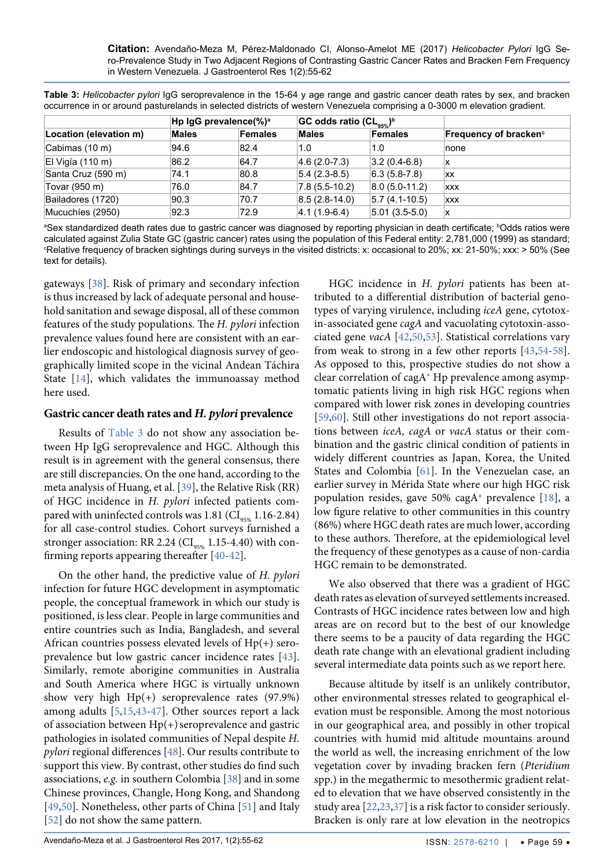<span id="page-4-0"></span>**Table 3:** *Helicobacter pylori* IgG seroprevalence in the 15-64 y age range and gastric cancer death rates by sex, and bracken occurrence in or around pasturelands in selected districts of western Venezuela comprising a 0-3000 m elevation gradient.

|                        | Hp IgG prevalence(%) <sup>a</sup> |         | GC odds ratio $(CL_{\text{max}})^b$ |                    |                                   |
|------------------------|-----------------------------------|---------|-------------------------------------|--------------------|-----------------------------------|
| Location (elevation m) | <b>Males</b>                      | Females | <b>Males</b>                        | Females            | Frequency of bracken <sup>c</sup> |
| Cabimas (10 m)         | 94.6                              | 82.4    | 1.0                                 | 1.0                | none                              |
| $ E $ Vigía (110 m)    | 86.2                              | 64.7    | $ 4.6(2.0-7.3) $                    | $ 3.2(0.4-6.8) $   | x                                 |
| Santa Cruz (590 m)     | 74.1                              | 80.8    | $ 5.4(2.3-8.5) $                    | $6.3(5.8-7.8)$     | <b>XX</b>                         |
| Tovar (950 m)          | 76.0                              | 84.7    | $ 7.8(5.5-10.2) $                   | $ 8.0 (5.0-11.2) $ | <b>XXX</b>                        |
| Bailadores (1720)      | 90.3                              | 70.7    | $ 8.5(2.8-14.0) $                   | $ 5.7(4.1-10.5) $  | <b>XXX</b>                        |
| Mucuchies (2950)       | 92.3                              | 72.9    | $ 4.1(1.9-6.4) $                    | $ 5.01(3.5-5.0) $  | x                                 |

ªSex standardized death rates due to gastric cancer was diagnosed by reporting physician in death certificate; <sup>b</sup>Odds ratios were calculated against Zulia State GC (gastric cancer) rates using the population of this Federal entity: 2,781,000 (1999) as standard; c Relative frequency of bracken sightings during surveys in the visited districts: x: occasional to 20%; xx: 21-50%; xxx: > 50% (See text for details).

gateways [\[38\]](#page-6-15). Risk of primary and secondary infection is thus increased by lack of adequate personal and household sanitation and sewage disposal, all of these common features of the study populations. The *H. pylori* infection prevalence values found here are consistent with an earlier endoscopic and histological diagnosis survey of geographically limited scope in the vicinal Andean Táchira State [[14\]](#page-5-11), which validates the immunoassay method here used.

#### **Gastric cancer death rates and** *H. pylori* **prevalence**

Results of [Table 3](#page-4-0) do not show any association between Hp IgG seroprevalence and HGC. Although this result is in agreement with the general consensus, there are still discrepancies. On the one hand, according to the meta analysis of Huang, et al. [\[39\]](#page-6-16), the Relative Risk (RR) of HGC incidence in *H. pylori* infected patients compared with uninfected controls was 1.81 ( $CI_{95\%}$  1.16-2.84) for all case-control studies. Cohort surveys furnished a stronger association: RR 2.24 ( $CI_{95\%}$  1.15-4.40) with confirming reports appearing thereafter [[40](#page-6-24)[-42\]](#page-6-20).

On the other hand, the predictive value of *H. pylori* infection for future HGC development in asymptomatic people, the conceptual framework in which our study is positioned, is less clear. People in large communities and entire countries such as India, Bangladesh, and several African countries possess elevated levels of  $Hp(+)$  seroprevalence but low gastric cancer incidence rates [[43](#page-6-22)]. Similarly, remote aborigine communities in Australia and South America where HGC is virtually unknown show very high Hp(+) seroprevalence rates (97.9%) among adults [[5](#page-5-3),[15](#page-5-12),[43](#page-6-22)[-47\]](#page-6-25). Other sources report a lack of association between  $Hp(+)$  seroprevalence and gastric pathologies in isolated communities of Nepal despite *H. pylori* regional differences [\[48\]](#page-6-26). Our results contribute to support this view. By contrast, other studies do find such associations, *e.g.* in southern Colombia [\[38\]](#page-6-15) and in some Chinese provinces, Changle, Hong Kong, and Shandong [\[49](#page-6-27)[,50\]](#page-6-21). Nonetheless, other parts of China [\[51\]](#page-7-6) and Italy [\[52\]](#page-7-7) do not show the same pattern.

HGC incidence in *H. pylori* patients has been attributed to a differential distribution of bacterial genotypes of varying virulence, including *iceA* gene, cytotoxin-associated gene *cagA* and vacuolating cytotoxin-associated gene *vacA* [\[42](#page-6-20)[,50](#page-6-21),[53](#page-7-0)]. Statistical correlations vary from weak to strong in a few other reports [\[43](#page-6-22)[,54-](#page-7-1)[58](#page-7-2)]. As opposed to this, prospective studies do not show a clear correlation of cagA+ Hp prevalence among asymptomatic patients living in high risk HGC regions when compared with lower risk zones in developing countries [[59](#page-7-3),[60](#page-7-4)]. Still other investigations do not report associations between *iceA, cagA* or *vacA* status or their combination and the gastric clinical condition of patients in widely different countries as Japan, Korea, the United States and Colombia [\[61\]](#page-7-5). In the Venezuelan case, an earlier survey in Mérida State where our high HGC risk population resides, gave 50% cagA<sup>+</sup> prevalence  $[18]$  $[18]$  $[18]$ , a low figure relative to other communities in this country (86%) where HGC death rates are much lower, according to these authors. Therefore, at the epidemiological level the frequency of these genotypes as a cause of non-cardia HGC remain to be demonstrated.

We also observed that there was a gradient of HGC death rates as elevation of surveyed settlements increased. Contrasts of HGC incidence rates between low and high areas are on record but to the best of our knowledge there seems to be a paucity of data regarding the HGC death rate change with an elevational gradient including several intermediate data points such as we report here.

Because altitude by itself is an unlikely contributor, other environmental stresses related to geographical elevation must be responsible. Among the most notorious in our geographical area, and possibly in other tropical countries with humid mid altitude mountains around the world as well, the increasing enrichment of the low vegetation cover by invading bracken fern (*Pteridium* spp.) in the megathermic to mesothermic gradient related to elevation that we have observed consistently in the study area [\[22](#page-6-3)[,23](#page-6-4)[,37\]](#page-6-14) is a risk factor to consider seriously. Bracken is only rare at low elevation in the neotropics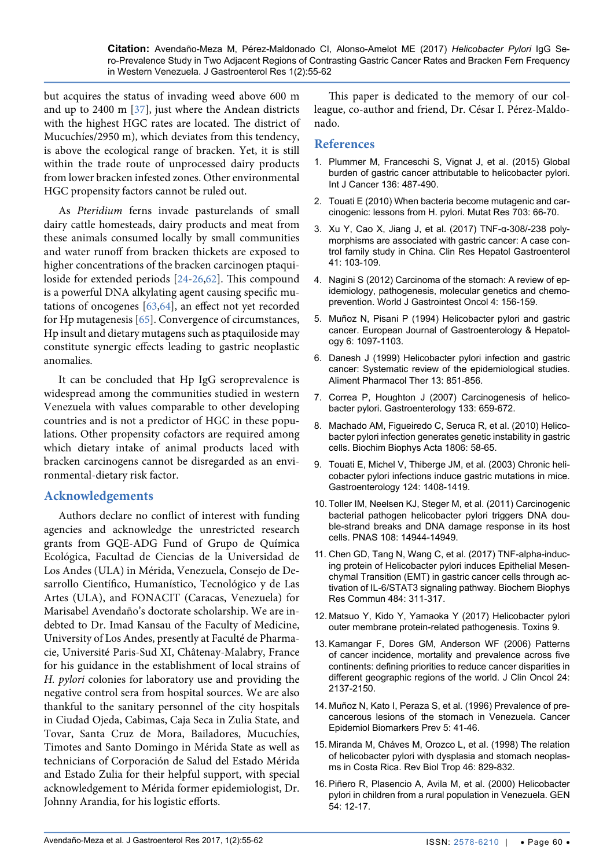but acquires the status of invading weed above 600 m and up to 2400 m [\[37\]](#page-6-14), just where the Andean districts with the highest HGC rates are located. The district of Mucuchíes/2950 m), which deviates from this tendency, is above the ecological range of bracken. Yet, it is still within the trade route of unprocessed dairy products from lower bracken infested zones. Other environmental HGC propensity factors cannot be ruled out.

As *Pteridium* ferns invade pasturelands of small dairy cattle homesteads, dairy products and meat from these animals consumed locally by small communities and water runoff from bracken thickets are exposed to higher concentrations of the bracken carcinogen ptaquiloside for extended periods [\[24-](#page-6-5)[26](#page-6-6),[62](#page-7-8)]. This compound is a powerful DNA alkylating agent causing specific mutations of oncogenes [[63](#page-7-9),[64\]](#page-7-10), an effect not yet recorded for Hp mutagenesis [[65](#page-7-11)]. Convergence of circumstances, Hp insult and dietary mutagens such as ptaquiloside may constitute synergic effects leading to gastric neoplastic anomalies.

It can be concluded that Hp IgG seroprevalence is widespread among the communities studied in western Venezuela with values comparable to other developing countries and is not a predictor of HGC in these populations. Other propensity cofactors are required among which dietary intake of animal products laced with bracken carcinogens cannot be disregarded as an environmental-dietary risk factor.

#### **Acknowledgements**

Authors declare no conflict of interest with funding agencies and acknowledge the unrestricted research grants from GQE-ADG Fund of Grupo de Química Ecológica, Facultad de Ciencias de la Universidad de Los Andes (ULA) in Mérida, Venezuela, Consejo de Desarrollo Científico, Humanístico, Tecnológico y de Las Artes (ULA), and FONACIT (Caracas, Venezuela) for Marisabel Avendaño's doctorate scholarship. We are indebted to Dr. Imad Kansau of the Faculty of Medicine, University of Los Andes, presently at Faculté de Pharmacie, Université Paris-Sud XI, Châtenay-Malabry, France for his guidance in the establishment of local strains of *H. pylori* colonies for laboratory use and providing the negative control sera from hospital sources. We are also thankful to the sanitary personnel of the city hospitals in Ciudad Ojeda, Cabimas, Caja Seca in Zulia State, and Tovar, Santa Cruz de Mora, Bailadores, Mucuchíes, Timotes and Santo Domingo in Mérida State as well as technicians of Corporación de Salud del Estado Mérida and Estado Zulia for their helpful support, with special acknowledgement to Mérida former epidemiologist, Dr. Johnny Arandia, for his logistic efforts.

This paper is dedicated to the memory of our colleague, co-author and friend, Dr. César I. Pérez-Maldonado.

#### **References**

- <span id="page-5-0"></span>1. [Plummer M, Franceschi S, Vignat J, et al. \(2015\) Global](https://www.ncbi.nlm.nih.gov/pubmed/24889903)  [burden of gastric cancer attributable to helicobacter pylori.](https://www.ncbi.nlm.nih.gov/pubmed/24889903)  [Int J Cancer 136: 487-490.](https://www.ncbi.nlm.nih.gov/pubmed/24889903)
- <span id="page-5-1"></span>2. [Touati E \(2010\) When bacteria become mutagenic and car](https://www.ncbi.nlm.nih.gov/pubmed/20709622)cinogenic: lessons from H*.* [pylori. Mutat Res 703: 66-70.](https://www.ncbi.nlm.nih.gov/pubmed/20709622)
- 3. [Xu Y, Cao X, Jiang J, et al. \(2017\) TNF-α-308/-238 poly](https://www.ncbi.nlm.nih.gov/m/pubmed/27373488/)[morphisms are associated with gastric cancer: A case con](https://www.ncbi.nlm.nih.gov/m/pubmed/27373488/)[trol family study in China. Clin Res Hepatol Gastroenterol](https://www.ncbi.nlm.nih.gov/m/pubmed/27373488/)  [41: 103-109.](https://www.ncbi.nlm.nih.gov/m/pubmed/27373488/)
- <span id="page-5-2"></span>4. [Nagini S \(2012\) Carcinoma of the stomach: A review of ep](https://www.ncbi.nlm.nih.gov/pubmed/22844547)[idemiology, pathogenesis, molecular genetics and chemo](https://www.ncbi.nlm.nih.gov/pubmed/22844547)[prevention. World J Gastrointest Oncol 4: 156-159.](https://www.ncbi.nlm.nih.gov/pubmed/22844547)
- <span id="page-5-3"></span>5. [Muñoz N, Pisani P \(1994\) Helicobacter pylori and gastric](http://www.scirp.org/(S(i43dyn45teexjx455qlt3d2q))/reference/ReferencesPapers.aspx?ReferenceID=1096451)  [cancer. European Journal of Gastroenterology & Hepatol](http://www.scirp.org/(S(i43dyn45teexjx455qlt3d2q))/reference/ReferencesPapers.aspx?ReferenceID=1096451)ogy [6: 1097-1103.](http://www.scirp.org/(S(i43dyn45teexjx455qlt3d2q))/reference/ReferencesPapers.aspx?ReferenceID=1096451)
- 6. [Danesh J \(1999\) Helicobacter pylori infection and gastric](https://www.ncbi.nlm.nih.gov/pubmed/10383517)  [cancer: Systematic review of the epidemiological studies.](https://www.ncbi.nlm.nih.gov/pubmed/10383517)  [Aliment Pharmacol Ther](https://www.ncbi.nlm.nih.gov/pubmed/10383517) 13: 851-856.
- <span id="page-5-4"></span>7. [Correa P, Houghton J \(2007\) Carcinogenesis of helico](https://www.ncbi.nlm.nih.gov/pubmed/17681184)[bacter pylori. Gastroenterology 133: 659-672.](https://www.ncbi.nlm.nih.gov/pubmed/17681184)
- <span id="page-5-5"></span>8. [Machado AM, Figueiredo C, Seruca R, et al. \(2010\) Helico](https://www.ncbi.nlm.nih.gov/pubmed/20122996)bacter pylori [infection generates genetic instability in gastric](https://www.ncbi.nlm.nih.gov/pubmed/20122996)  [cells. Biochim Biophys Acta 1806: 58-65.](https://www.ncbi.nlm.nih.gov/pubmed/20122996)
- <span id="page-5-6"></span>9. [Touati E, Michel V, Thiberge JM, et al. \(2003\) Chronic heli](https://www.ncbi.nlm.nih.gov/pubmed/12730880)[cobacter pylori infections induce gastric mutations in mice.](https://www.ncbi.nlm.nih.gov/pubmed/12730880)  [Gastroenterology 124: 1408-1419.](https://www.ncbi.nlm.nih.gov/pubmed/12730880)
- <span id="page-5-7"></span>10. [Toller IM, Neelsen KJ, Steger M, et al. \(2011\) Carcinogenic](http://www.pnas.org/content/108/36/14944.full.pdf)  [bacterial pathogen helicobacter pylori triggers DNA dou](http://www.pnas.org/content/108/36/14944.full.pdf)[ble-strand breaks and DNA damage response in its host](http://www.pnas.org/content/108/36/14944.full.pdf)  [cells. PNAS 108: 14944-14949.](http://www.pnas.org/content/108/36/14944.full.pdf)
- <span id="page-5-8"></span>11. Chen GD, Tang N, Wang C, et al. (2017) TNF-alpha-inducing protein of Helicobacter pylori induces Epithelial Mesenchymal Transition (EMT) in gastric cancer cells through activation of IL-6/STAT3 signaling pathway. Biochem Biophys Res Commun 484: 311-317.
- <span id="page-5-9"></span>12. [Matsuo Y, Kido Y, Yamaoka Y \(2017\) Helicobacter pylori](https://www.ncbi.nlm.nih.gov/pubmed/28287480)  [outer membrane protein-related pathogenesis. Toxins 9.](https://www.ncbi.nlm.nih.gov/pubmed/28287480)
- <span id="page-5-10"></span>13. [Kamangar F, Dores GM, Anderson WF \(2006\) Patterns](https://www.ncbi.nlm.nih.gov/pubmed/16682732)  [of cancer incidence, mortality and prevalence across five](https://www.ncbi.nlm.nih.gov/pubmed/16682732)  [continents: defining priorities to reduce cancer disparities in](https://www.ncbi.nlm.nih.gov/pubmed/16682732)  [different geographic regions of the world. J Clin Oncol](https://www.ncbi.nlm.nih.gov/pubmed/16682732) 24: [2137-2150.](https://www.ncbi.nlm.nih.gov/pubmed/16682732)
- <span id="page-5-11"></span>14. [Muñoz N, Kato I, Peraza S, et al. \(1996\) Prevalence of pre](https://www.ncbi.nlm.nih.gov/pubmed/8770465)[cancerous lesions of the stomach in Venezuela. Cancer](https://www.ncbi.nlm.nih.gov/pubmed/8770465)  [Epidemiol Biomarkers Prev 5: 41-46.](https://www.ncbi.nlm.nih.gov/pubmed/8770465)
- <span id="page-5-12"></span>15. [Miranda M, Cháves M, Orozco L, et al. \(1998\) The relation](https://www.ncbi.nlm.nih.gov/pubmed/10347820)  [of helicobacter pylori with dysplasia and stomach neoplas](https://www.ncbi.nlm.nih.gov/pubmed/10347820)[ms in Costa Rica. Rev Biol Trop](https://www.ncbi.nlm.nih.gov/pubmed/10347820) 46: 829-832.
- 16. [Piñero R, Plasencio A, Avila M, et al. \(2000\) Helicobacter](http://bases.bireme.br/cgi-bin/wxislind.exe/iah/online/?IsisScript=iah/iah.xis&src=google&base=LILACS&lang=p&nextAction=lnk&exprSearch=305891&indexSearch=ID)  [pylori in children from a rural population in Venezuela. GEN](http://bases.bireme.br/cgi-bin/wxislind.exe/iah/online/?IsisScript=iah/iah.xis&src=google&base=LILACS&lang=p&nextAction=lnk&exprSearch=305891&indexSearch=ID)  [54: 12-17.](http://bases.bireme.br/cgi-bin/wxislind.exe/iah/online/?IsisScript=iah/iah.xis&src=google&base=LILACS&lang=p&nextAction=lnk&exprSearch=305891&indexSearch=ID)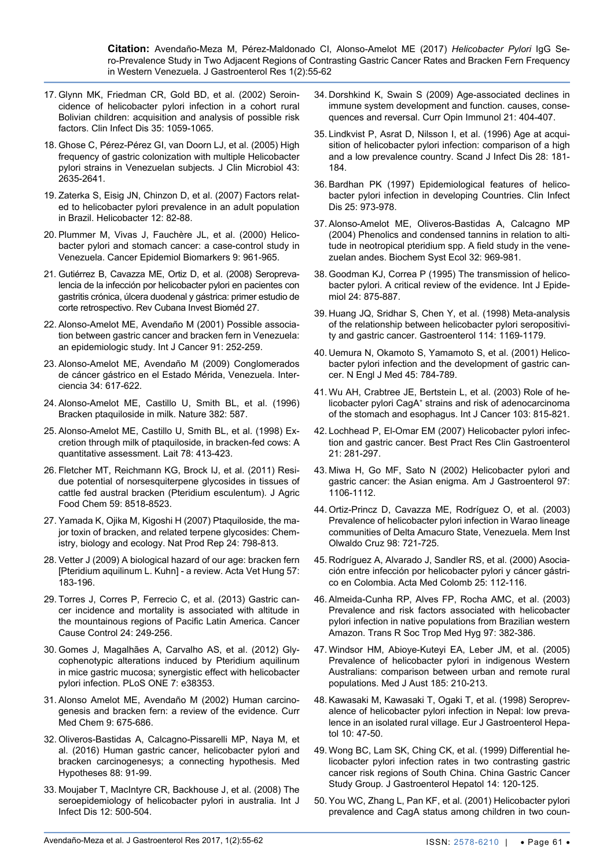- 17. [Glynn MK, Friedman CR, Gold BD, et al. \(2002\) Seroin](https://www.ncbi.nlm.nih.gov/pubmed/12384839)[cidence of helicobacter pylori infection in a cohort rural](https://www.ncbi.nlm.nih.gov/pubmed/12384839)  [Bolivian children: acquisition and analysis of possible risk](https://www.ncbi.nlm.nih.gov/pubmed/12384839)  [factors. Clin Infect Dis 35: 1059-1065.](https://www.ncbi.nlm.nih.gov/pubmed/12384839)
- <span id="page-6-23"></span>18. [Ghose C, Pérez-Pérez GI, van Doorn LJ, et al. \(2005\) High](http://jcm.asm.org/content/43/6/2635.full)  [frequency of gastric colonization with multiple Helicobacter](http://jcm.asm.org/content/43/6/2635.full)  [pylori strains in Venezuelan subjects](http://jcm.asm.org/content/43/6/2635.full)*.* J Clin Microbiol 43: [2635-2641.](http://jcm.asm.org/content/43/6/2635.full)
- <span id="page-6-0"></span>19. [Zaterka S, Eisig JN, Chinzon D, et al. \(2007\) Factors relat](https://www.ncbi.nlm.nih.gov/pubmed/17241306)[ed to helicobacter pylori prevalence in an adult population](https://www.ncbi.nlm.nih.gov/pubmed/17241306)  [in Brazil. Helicobacter 12: 82-88.](https://www.ncbi.nlm.nih.gov/pubmed/17241306)
- <span id="page-6-1"></span>20. [Plummer M, Vivas J, Fauchère JL, et al. \(2000\) Helico](https://www.ncbi.nlm.nih.gov/pubmed/11008915)[bacter pylori and stomach cancer: a case-control study in](https://www.ncbi.nlm.nih.gov/pubmed/11008915)  [Venezuela. Cancer Epidemiol Biomarkers 9: 961-965.](https://www.ncbi.nlm.nih.gov/pubmed/11008915)
- <span id="page-6-2"></span>21. [Gutiérrez B, Cavazza ME, Ortiz D, et al. \(2008\) Seropreva](http://scielo.sld.cu/scielo.php?script=sci_arttext&pid=S0864-03002008000200011)[lencia de la infección por helicobacter pylori en pacientes con](http://scielo.sld.cu/scielo.php?script=sci_arttext&pid=S0864-03002008000200011)  [gastritis crónica, úlcera duodenal y gástrica: primer estudio de](http://scielo.sld.cu/scielo.php?script=sci_arttext&pid=S0864-03002008000200011)  [corte retrospectivo. Rev Cubana Invest Bioméd 27.](http://scielo.sld.cu/scielo.php?script=sci_arttext&pid=S0864-03002008000200011)
- <span id="page-6-3"></span>22. [Alonso-Amelot ME, Avendaño M \(2001\) Possible associa](https://www.ncbi.nlm.nih.gov/pubmed/11146454)[tion between gastric cancer and bracken fern in Venezuela:](https://www.ncbi.nlm.nih.gov/pubmed/11146454)  [an epidemiologic study. Int J Cancer 91: 252-259.](https://www.ncbi.nlm.nih.gov/pubmed/11146454)
- <span id="page-6-4"></span>23. Alonso-Amelot ME, Avendaño M (2009) Conglomerados de cáncer gástrico en el Estado Mérida, Venezuela. Interciencia 34: 617-622.
- <span id="page-6-5"></span>24. [Alonso-Amelot ME, Castillo U, Smith BL, et al. \(1996\)](https://www.nature.com/nature/journal/v382/n6592/abs/382587a0.html)  [Bracken ptaquiloside in milk. Nature 382: 587.](https://www.nature.com/nature/journal/v382/n6592/abs/382587a0.html)
- 25. [Alonso-Amelot ME, Castillo U, Smith BL, et al. \(1998\) Ex](https://lait.dairy-journal.org/articles/lait/abs/1998/04/lait_78_1998_4_40/lait_78_1998_4_40.html)[cretion through milk of ptaquiloside, in bracken-fed cows: A](https://lait.dairy-journal.org/articles/lait/abs/1998/04/lait_78_1998_4_40/lait_78_1998_4_40.html)  [quantitative assessment. Lait 78: 413-423.](https://lait.dairy-journal.org/articles/lait/abs/1998/04/lait_78_1998_4_40/lait_78_1998_4_40.html)
- <span id="page-6-6"></span>26. [Fletcher MT, Reichmann KG, Brock IJ, et al. \(2011\) Resi](http://pubs.acs.org/doi/abs/10.1021/jf201342t)[due potential of norsesquiterpene glycosides in tissues of](http://pubs.acs.org/doi/abs/10.1021/jf201342t)  [cattle fed austral bracken \(Pteridium esculentum\)](http://pubs.acs.org/doi/abs/10.1021/jf201342t)*.* J Agric [Food Chem 59: 8518-8523.](http://pubs.acs.org/doi/abs/10.1021/jf201342t)
- <span id="page-6-7"></span>27. [Yamada K, Ojika M, Kigoshi H \(2007\) Ptaquiloside, the ma](https://www.ncbi.nlm.nih.gov/pubmed/17653360)[jor toxin of bracken, and related terpene glycosides: Chem](https://www.ncbi.nlm.nih.gov/pubmed/17653360)[istry, biology and ecology. Nat Prod Rep 24: 798-813.](https://www.ncbi.nlm.nih.gov/pubmed/17653360)
- <span id="page-6-8"></span>28. [Vetter J \(2009\) A biological hazard of our age: bracken fern](https://www.ncbi.nlm.nih.gov/pubmed/19457786)  [\[Pteridium aquilinum L. Kuhn\] - a review. Acta Vet Hung 57:](https://www.ncbi.nlm.nih.gov/pubmed/19457786)  [183-196.](https://www.ncbi.nlm.nih.gov/pubmed/19457786)
- <span id="page-6-9"></span>29. [Torres J, Corres P, Ferrecio C, et al. \(2013\) Gastric can](https://www.ncbi.nlm.nih.gov/pubmed/23224271)[cer incidence and mortality is associated with altitude in](https://www.ncbi.nlm.nih.gov/pubmed/23224271)  [the mountainous regions of Pacific Latin America. Cancer](https://www.ncbi.nlm.nih.gov/pubmed/23224271)  [Cause Control 24: 249-256.](https://www.ncbi.nlm.nih.gov/pubmed/23224271)
- <span id="page-6-10"></span>30. [Gomes J, Magalhães A, Carvalho AS, et al. \(2012\) Gly](http://journals.plos.org/plosone/article?id=10.1371/journal.pone.0038353)[cophenotypic alterations induced by Pteridium aquilinum](http://journals.plos.org/plosone/article?id=10.1371/journal.pone.0038353)  [in mice gastric mucosa; synergistic effect with helicobacter](http://journals.plos.org/plosone/article?id=10.1371/journal.pone.0038353)  [pylori infection. PLoS ONE 7: e38353.](http://journals.plos.org/plosone/article?id=10.1371/journal.pone.0038353)
- <span id="page-6-11"></span>31. [Alonso Amelot ME, Avendaño M \(2002\) Human carcino](https://www.ncbi.nlm.nih.gov/pubmed/11945131)[genesis and bracken fern: a review of the evidence. Curr](https://www.ncbi.nlm.nih.gov/pubmed/11945131)  [Med Chem 9: 675-686.](https://www.ncbi.nlm.nih.gov/pubmed/11945131)
- <span id="page-6-12"></span>32. [Oliveros-Bastidas A, Calcagno-Pissarelli MP, Naya M, et](https://www.ncbi.nlm.nih.gov/pubmed/26632203)  [al. \(2016\) Human gastric cancer, helicobacter pylori and](https://www.ncbi.nlm.nih.gov/pubmed/26632203)  [bracken carcinogenesys; a connecting hypothesis. Med](https://www.ncbi.nlm.nih.gov/pubmed/26632203)  [Hypotheses 88: 91-99.](https://www.ncbi.nlm.nih.gov/pubmed/26632203)
- <span id="page-6-13"></span>33. [Moujaber T, MacIntyre CR, Backhouse J, et al. \(2008\) The](https://www.ncbi.nlm.nih.gov/pubmed/18400542)  [seroepidemiology of helicobacter pylori in australia. Int J](https://www.ncbi.nlm.nih.gov/pubmed/18400542)  [Infect Dis 12: 500-504.](https://www.ncbi.nlm.nih.gov/pubmed/18400542)
- <span id="page-6-17"></span>34. [Dorshkind K, Swain S \(2009\) Age-associated declines in](https://www.ncbi.nlm.nih.gov/pubmed/19632102)  [immune system development and function. causes, conse](https://www.ncbi.nlm.nih.gov/pubmed/19632102)[quences and reversal. Curr Opin Immunol 21: 404-407.](https://www.ncbi.nlm.nih.gov/pubmed/19632102)
- <span id="page-6-18"></span>35. [Lindkvist P, Asrat D, Nilsson I, et al. \(1996\) Age at acqui](https://www.ncbi.nlm.nih.gov/pubmed/8792487)sition of helicobacter pylori infection: comparison of a high [and a low prevalence country. Scand J Infect Dis 28: 181-](https://www.ncbi.nlm.nih.gov/pubmed/8792487) [184.](https://www.ncbi.nlm.nih.gov/pubmed/8792487)
- <span id="page-6-19"></span>36. [Bardhan PK \(1997\) Epidemiological features of helico](https://www.ncbi.nlm.nih.gov/pubmed/9402340)[bacter pylori infection in developing Countries. Clin Infect](https://www.ncbi.nlm.nih.gov/pubmed/9402340)  [Dis 25: 973-978.](https://www.ncbi.nlm.nih.gov/pubmed/9402340)
- <span id="page-6-14"></span>37. [Alonso-Amelot ME, Oliveros-Bastidas A, Calcagno MP](http://www.sciencedirect.com/science/article/pii/S0305197804000924)  [\(2004\) Phenolics and condensed tannins in relation to alti](http://www.sciencedirect.com/science/article/pii/S0305197804000924)[tude in neotropical pteridium spp. A field study in the vene](http://www.sciencedirect.com/science/article/pii/S0305197804000924)[zuelan andes. Biochem Syst Ecol](http://www.sciencedirect.com/science/article/pii/S0305197804000924) 32: 969-981.
- <span id="page-6-15"></span>38. [Goodman KJ, Correa P \(1995\) The transmission of helico](https://www.ncbi.nlm.nih.gov/pubmed/8557443)[bacter pylori. A critical review of the evidence. Int J Epide](https://www.ncbi.nlm.nih.gov/pubmed/8557443)[miol 24: 875-887.](https://www.ncbi.nlm.nih.gov/pubmed/8557443)
- <span id="page-6-16"></span>39. [Huang JQ, Sridhar S, Chen Y, et al. \(1998\) Meta-analysis](https://www.ncbi.nlm.nih.gov/pubmed/9609753)  [of the relationship between helicobacter pylori seropositivi](https://www.ncbi.nlm.nih.gov/pubmed/9609753)[ty and gastric cancer. Gastroenterol 114: 1169-1179.](https://www.ncbi.nlm.nih.gov/pubmed/9609753)
- <span id="page-6-24"></span>40. [Uemura N, Okamoto S, Yamamoto S, et al. \(2001\) Helico](https://www.ncbi.nlm.nih.gov/pubmed/11556297)[bacter pylori infection and the development of gastric can](https://www.ncbi.nlm.nih.gov/pubmed/11556297)[cer. N Engl J Med 45: 784-789.](https://www.ncbi.nlm.nih.gov/pubmed/11556297)
- 41. [Wu AH, Crabtree JE, Bertstein L, et al. \(2003\) Role of he](https://www.ncbi.nlm.nih.gov/pubmed/12516104)[licobacter pylori CagA+ strains and risk of adenocarcinoma](https://www.ncbi.nlm.nih.gov/pubmed/12516104)  [of the stomach and esophagus. Int J Cancer 103: 815-821.](https://www.ncbi.nlm.nih.gov/pubmed/12516104)
- <span id="page-6-20"></span>42. Lochhead P, El-Omar EM (2007) Helicobacter pylori infection and gastric cancer. Best Pract Res Clin Gastroenterol 21: 281-297.
- <span id="page-6-22"></span>43. [Miwa H, Go MF, Sato N \(2002\) Helicobacter pylori and](https://www.ncbi.nlm.nih.gov/pubmed/12014714)  [gastric cancer: the Asian enigma. Am J Gastroenterol 97:](https://www.ncbi.nlm.nih.gov/pubmed/12014714)  [1106-1112.](https://www.ncbi.nlm.nih.gov/pubmed/12014714)
- 44. [Ortiz-Princz D, Cavazza ME, Rodríguez O, et al. \(2003\)](https://www.ncbi.nlm.nih.gov/pubmed/14595445)  [Prevalence of helicobacter pylori infection in Warao lineage](https://www.ncbi.nlm.nih.gov/pubmed/14595445)  [communities of Delta Amacuro State, Venezuela. Mem Inst](https://www.ncbi.nlm.nih.gov/pubmed/14595445)  [Olwaldo Cruz 98: 721-725.](https://www.ncbi.nlm.nih.gov/pubmed/14595445)
- 45. [Rodríguez A, Alvarado J, Sandler RS, et al. \(2000\) Asocia](http://www.actamedicacolombiana.com/anexo/articulos/03-2000-03.pdf)[ción entre infección por helicobacter pylori y cáncer gástri](http://www.actamedicacolombiana.com/anexo/articulos/03-2000-03.pdf)[co en Colombia. Acta Med Colomb 25: 112-116.](http://www.actamedicacolombiana.com/anexo/articulos/03-2000-03.pdf)
- 46. [Almeida-Cunha RP, Alves FP, Rocha AMC, et al. \(2003\)](https://www.ncbi.nlm.nih.gov/pubmed/15259462)  [Prevalence and risk factors associated with helicobacter](https://www.ncbi.nlm.nih.gov/pubmed/15259462)  [pylori infection in native populations from Brazilian western](https://www.ncbi.nlm.nih.gov/pubmed/15259462)  [Amazon. Trans R Soc Trop Med Hyg 97: 382-386.](https://www.ncbi.nlm.nih.gov/pubmed/15259462)
- <span id="page-6-25"></span>47. [Windsor HM, Abioye-Kuteyi EA, Leber JM, et al. \(2005\)](https://www.ncbi.nlm.nih.gov/pubmed/15748129)  [Prevalence of helicobacter pylori in indigenous Western](https://www.ncbi.nlm.nih.gov/pubmed/15748129)  [Australians: comparison between urban and remote rural](https://www.ncbi.nlm.nih.gov/pubmed/15748129)  [populations. Med J Aust 185: 210-213.](https://www.ncbi.nlm.nih.gov/pubmed/15748129)
- <span id="page-6-26"></span>48. [Kawasaki M, Kawasaki T, Ogaki T, et al. \(1998\) Seroprev](https://www.ncbi.nlm.nih.gov/pubmed/9512953)[alence of helicobacter pylori infection in Nepal: low preva](https://www.ncbi.nlm.nih.gov/pubmed/9512953)[lence in an isolated rural village. Eur J Gastroenterol Hepa](https://www.ncbi.nlm.nih.gov/pubmed/9512953)[tol 10: 47-50.](https://www.ncbi.nlm.nih.gov/pubmed/9512953)
- <span id="page-6-27"></span>49. [Wong BC, Lam SK, Ching CK, et al. \(1999\) Differential he](https://www.ncbi.nlm.nih.gov/pubmed/10029291)[licobacter pylori infection rates in two contrasting gastric](https://www.ncbi.nlm.nih.gov/pubmed/10029291)  [cancer risk regions of South China. China Gastric Cancer](https://www.ncbi.nlm.nih.gov/pubmed/10029291)  [Study Group. J Gastroenterol Hepatol 14: 120-125.](https://www.ncbi.nlm.nih.gov/pubmed/10029291)
- <span id="page-6-21"></span>50. [You WC, Zhang L, Pan KF, et al. \(2001\) Helicobacter pylori](https://www.ncbi.nlm.nih.gov/pubmed/11709273)  [prevalence and CagA status among children in two coun-](https://www.ncbi.nlm.nih.gov/pubmed/11709273)